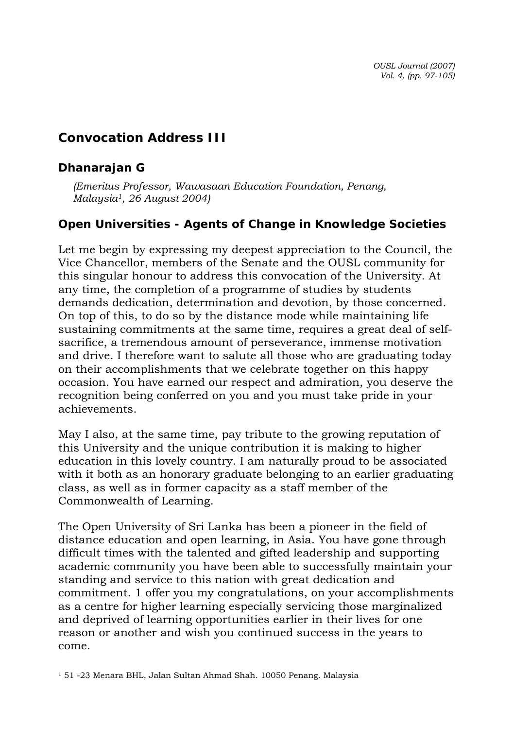*OUSL Journal (2007) Vol. 4, (pp. 97-105)* 

## **Convocation Address III**

## *Dhanarajan G*

*(Emeritus Professor, Wawasaan Education Foundation, Penang, Malaysia1, 26 August 2004)* 

## **Open Universities - Agents of Change in Knowledge Societies**

Let me begin by expressing my deepest appreciation to the Council, the Vice Chancellor, members of the Senate and the OUSL community for this singular honour to address this convocation of the University. At any time, the completion of a programme of studies by students demands dedication, determination and devotion, by those concerned. On top of this, to do so by the distance mode while maintaining life sustaining commitments at the same time, requires a great deal of selfsacrifice, a tremendous amount of perseverance, immense motivation and drive. I therefore want to salute all those who are graduating today on their accomplishments that we celebrate together on this happy occasion. You have earned our respect and admiration, you deserve the recognition being conferred on you and you must take pride in your achievements.

May I also, at the same time, pay tribute to the growing reputation of this University and the unique contribution it is making to higher education in this lovely country. I am naturally proud to be associated with it both as an honorary graduate belonging to an earlier graduating class, as well as in former capacity as a staff member of the Commonwealth of Learning.

The Open University of Sri Lanka has been a pioneer in the field of distance education and open learning, in Asia. You have gone through difficult times with the talented and gifted leadership and supporting academic community you have been able to successfully maintain your standing and service to this nation with great dedication and commitment. 1 offer you my congratulations, on your accomplishments as a centre for higher learning especially servicing those marginalized and deprived of learning opportunities earlier in their lives for one reason or another and wish you continued success in the years to come.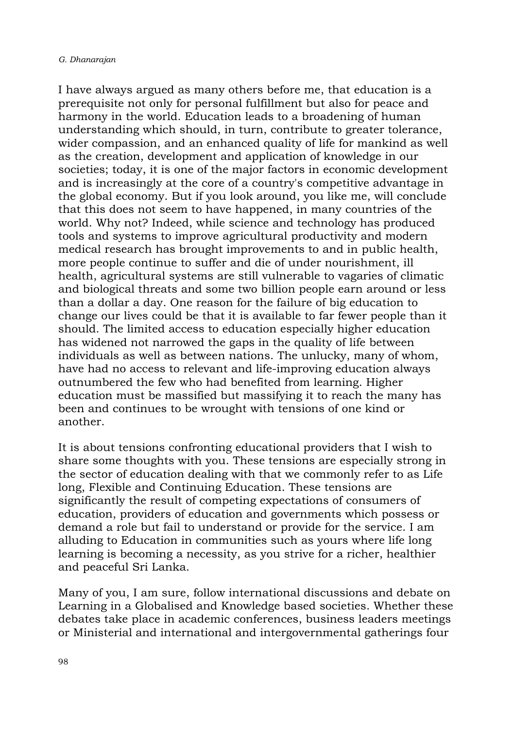I have always argued as many others before me, that education is a prerequisite not only for personal fulfillment but also for peace and harmony in the world. Education leads to a broadening of human understanding which should, in turn, contribute to greater tolerance, wider compassion, and an enhanced quality of life for mankind as well as the creation, development and application of knowledge in our societies; today, it is one of the major factors in economic development and is increasingly at the core of a country's competitive advantage in the global economy. But if you look around, you like me, will conclude that this does not seem to have happened, in many countries of the world. Why not? Indeed, while science and technology has produced tools and systems to improve agricultural productivity and modern medical research has brought improvements to and in public health, more people continue to suffer and die of under nourishment, ill health, agricultural systems are still vulnerable to vagaries of climatic and biological threats and some two billion people earn around or less than a dollar a day. One reason for the failure of big education to change our lives could be that it is available to far fewer people than it should. The limited access to education especially higher education has widened not narrowed the gaps in the quality of life between individuals as well as between nations. The unlucky, many of whom, have had no access to relevant and life-improving education always outnumbered the few who had benefited from learning. Higher education must be massified but massifying it to reach the many has been and continues to be wrought with tensions of one kind or another.

It is about tensions confronting educational providers that I wish to share some thoughts with you. These tensions are especially strong in the sector of education dealing with that we commonly refer to as Life long, Flexible and Continuing Education. These tensions are significantly the result of competing expectations of consumers of education, providers of education and governments which possess or demand a role but fail to understand or provide for the service. I am alluding to Education in communities such as yours where life long learning is becoming a necessity, as you strive for a richer, healthier and peaceful Sri Lanka.

Many of you, I am sure, follow international discussions and debate on Learning in a Globalised and Knowledge based societies. Whether these debates take place in academic conferences, business leaders meetings or Ministerial and international and intergovernmental gatherings four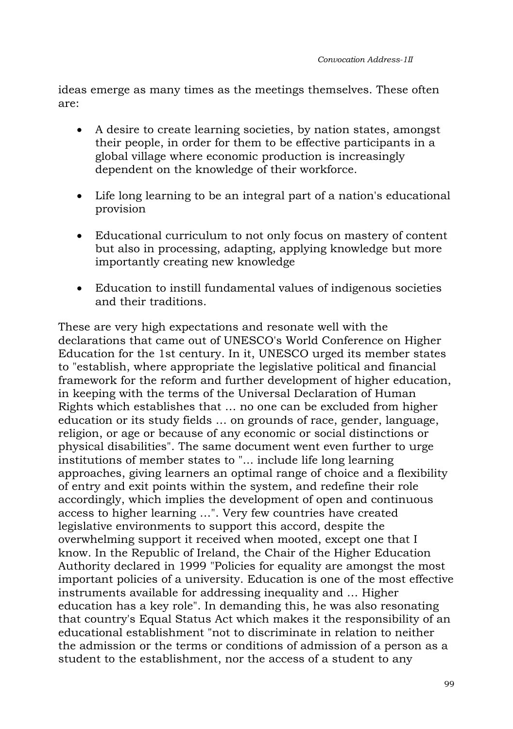ideas emerge as many times as the meetings themselves. These often are:

- A desire to create learning societies, by nation states, amongst their people, in order for them to be effective participants in a global village where economic production is increasingly dependent on the knowledge of their workforce.
- Life long learning to be an integral part of a nation's educational provision
- Educational curriculum to not only focus on mastery of content but also in processing, adapting, applying knowledge but more importantly creating new knowledge
- Education to instill fundamental values of indigenous societies and their traditions.

These are very high expectations and resonate well with the declarations that came out of UNESCO's World Conference on Higher Education for the 1st century. In it, UNESCO urged its member states to "establish, where appropriate the legislative political and financial framework for the reform and further development of higher education, in keeping with the terms of the Universal Declaration of Human Rights which establishes that … no one can be excluded from higher education or its study fields … on grounds of race, gender, language, religion, or age or because of any economic or social distinctions or physical disabilities". The same document went even further to urge institutions of member states to "... include life long learning approaches, giving learners an optimal range of choice and a flexibility of entry and exit points within the system, and redefine their role accordingly, which implies the development of open and continuous access to higher learning …". Very few countries have created legislative environments to support this accord, despite the overwhelming support it received when mooted, except one that I know. In the Republic of Ireland, the Chair of the Higher Education Authority declared in 1999 "Policies for equality are amongst the most important policies of a university. Education is one of the most effective instruments available for addressing inequality and … Higher education has a key role". In demanding this, he was also resonating that country's Equal Status Act which makes it the responsibility of an educational establishment "not to discriminate in relation to neither the admission or the terms or conditions of admission of a person as a student to the establishment, nor the access of a student to any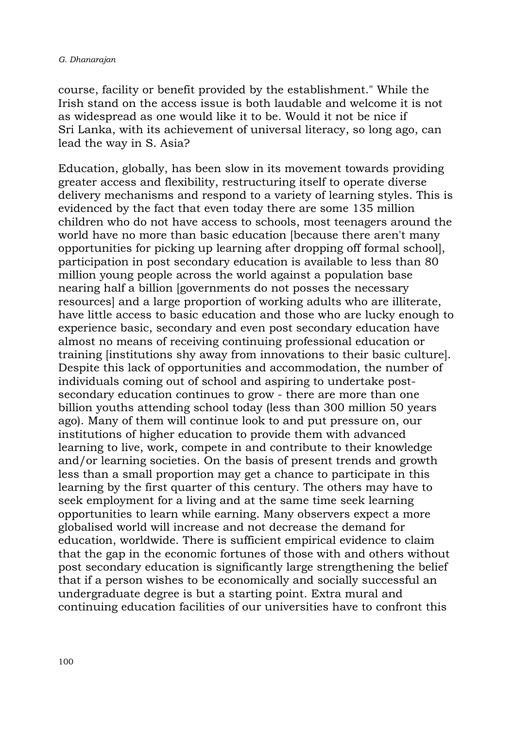course, facility or benefit provided by the establishment." While the Irish stand on the access issue is both laudable and welcome it is not as widespread as one would like it to be. Would it not be nice if Sri Lanka, with its achievement of universal literacy, so long ago, can lead the way in S. Asia?

Education, globally, has been slow in its movement towards providing greater access and flexibility, restructuring itself to operate diverse delivery mechanisms and respond to a variety of learning styles. This is evidenced by the fact that even today there are some 135 million children who do not have access to schools, most teenagers around the world have no more than basic education [because there aren't many opportunities for picking up learning after dropping off formal school], participation in post secondary education is available to less than 80 million young people across the world against a population base nearing half a billion [governments do not posses the necessary resources] and a large proportion of working adults who are illiterate, have little access to basic education and those who are lucky enough to experience basic, secondary and even post secondary education have almost no means of receiving continuing professional education or training [institutions shy away from innovations to their basic culture]. Despite this lack of opportunities and accommodation, the number of individuals coming out of school and aspiring to undertake postsecondary education continues to grow - there are more than one billion youths attending school today (less than 300 million 50 years ago). Many of them will continue look to and put pressure on, our institutions of higher education to provide them with advanced learning to live, work, compete in and contribute to their knowledge and/or learning societies. On the basis of present trends and growth less than a small proportion may get a chance to participate in this learning by the first quarter of this century. The others may have to seek employment for a living and at the same time seek learning opportunities to learn while earning. Many observers expect a more globalised world will increase and not decrease the demand for education, worldwide. There is sufficient empirical evidence to claim that the gap in the economic fortunes of those with and others without post secondary education is significantly large strengthening the belief that if a person wishes to be economically and socially successful an undergraduate degree is but a starting point. Extra mural and continuing education facilities of our universities have to confront this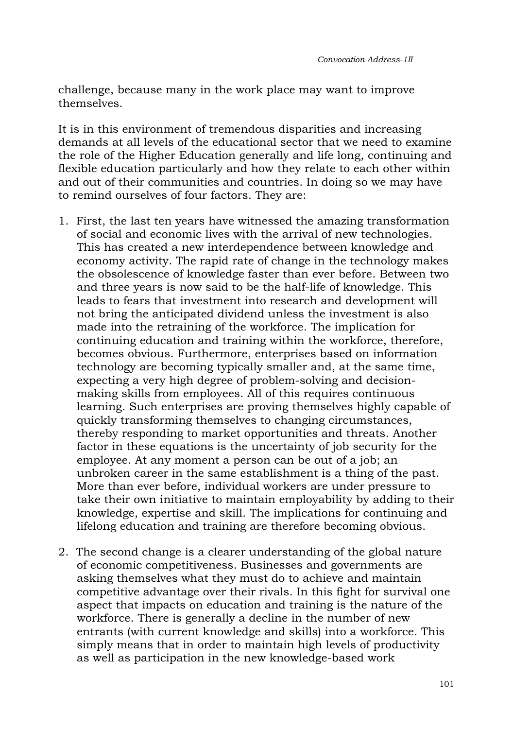challenge, because many in the work place may want to improve themselves.

It is in this environment of tremendous disparities and increasing demands at all levels of the educational sector that we need to examine the role of the Higher Education generally and life long, continuing and flexible education particularly and how they relate to each other within and out of their communities and countries. In doing so we may have to remind ourselves of four factors. They are:

- 1. First, the last ten years have witnessed the amazing transformation of social and economic lives with the arrival of new technologies. This has created a new interdependence between knowledge and economy activity. The rapid rate of change in the technology makes the obsolescence of knowledge faster than ever before. Between two and three years is now said to be the half-life of knowledge. This leads to fears that investment into research and development will not bring the anticipated dividend unless the investment is also made into the retraining of the workforce. The implication for continuing education and training within the workforce, therefore, becomes obvious. Furthermore, enterprises based on information technology are becoming typically smaller and, at the same time, expecting a very high degree of problem-solving and decisionmaking skills from employees. All of this requires continuous learning. Such enterprises are proving themselves highly capable of quickly transforming themselves to changing circumstances, thereby responding to market opportunities and threats. Another factor in these equations is the uncertainty of job security for the employee. At any moment a person can be out of a job; an unbroken career in the same establishment is a thing of the past. More than ever before, individual workers are under pressure to take their own initiative to maintain employability by adding to their knowledge, expertise and skill. The implications for continuing and lifelong education and training are therefore becoming obvious.
- 2. The second change is a clearer understanding of the global nature of economic competitiveness. Businesses and governments are asking themselves what they must do to achieve and maintain competitive advantage over their rivals. In this fight for survival one aspect that impacts on education and training is the nature of the workforce. There is generally a decline in the number of new entrants (with current knowledge and skills) into a workforce. This simply means that in order to maintain high levels of productivity as well as participation in the new knowledge-based work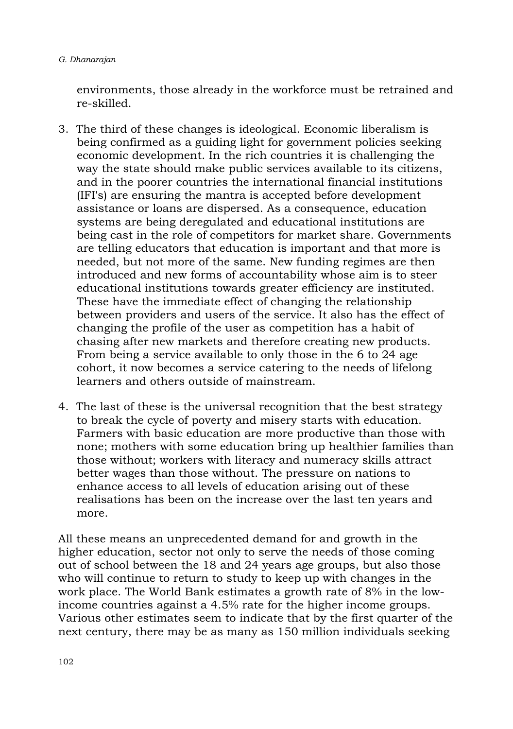environments, those already in the workforce must be retrained and re-skilled.

- 3. The third of these changes is ideological. Economic liberalism is being confirmed as a guiding light for government policies seeking economic development. In the rich countries it is challenging the way the state should make public services available to its citizens, and in the poorer countries the international financial institutions (IFI's) are ensuring the mantra is accepted before development assistance or loans are dispersed. As a consequence, education systems are being deregulated and educational institutions are being cast in the role of competitors for market share. Governments are telling educators that education is important and that more is needed, but not more of the same. New funding regimes are then introduced and new forms of accountability whose aim is to steer educational institutions towards greater efficiency are instituted. These have the immediate effect of changing the relationship between providers and users of the service. It also has the effect of changing the profile of the user as competition has a habit of chasing after new markets and therefore creating new products. From being a service available to only those in the 6 to 24 age cohort, it now becomes a service catering to the needs of lifelong learners and others outside of mainstream.
- 4. The last of these is the universal recognition that the best strategy to break the cycle of poverty and misery starts with education. Farmers with basic education are more productive than those with none; mothers with some education bring up healthier families than those without; workers with literacy and numeracy skills attract better wages than those without. The pressure on nations to enhance access to all levels of education arising out of these realisations has been on the increase over the last ten years and more.

All these means an unprecedented demand for and growth in the higher education, sector not only to serve the needs of those coming out of school between the 18 and 24 years age groups, but also those who will continue to return to study to keep up with changes in the work place. The World Bank estimates a growth rate of 8% in the lowincome countries against a 4.5% rate for the higher income groups. Various other estimates seem to indicate that by the first quarter of the next century, there may be as many as 150 million individuals seeking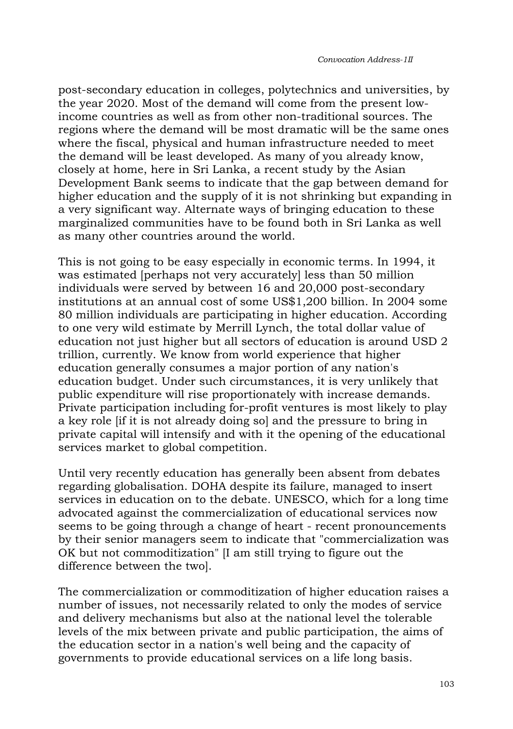post-secondary education in colleges, polytechnics and universities, by the year 2020. Most of the demand will come from the present lowincome countries as well as from other non-traditional sources. The regions where the demand will be most dramatic will be the same ones where the fiscal, physical and human infrastructure needed to meet the demand will be least developed. As many of you already know, closely at home, here in Sri Lanka, a recent study by the Asian Development Bank seems to indicate that the gap between demand for higher education and the supply of it is not shrinking but expanding in a very significant way. Alternate ways of bringing education to these marginalized communities have to be found both in Sri Lanka as well as many other countries around the world.

This is not going to be easy especially in economic terms. In 1994, it was estimated [perhaps not very accurately] less than 50 million individuals were served by between 16 and 20,000 post-secondary institutions at an annual cost of some US\$1,200 billion. In 2004 some 80 million individuals are participating in higher education. According to one very wild estimate by Merrill Lynch, the total dollar value of education not just higher but all sectors of education is around USD 2 trillion, currently. We know from world experience that higher education generally consumes a major portion of any nation's education budget. Under such circumstances, it is very unlikely that public expenditure will rise proportionately with increase demands. Private participation including for-profit ventures is most likely to play a key role [if it is not already doing so] and the pressure to bring in private capital will intensify and with it the opening of the educational services market to global competition.

Until very recently education has generally been absent from debates regarding globalisation. DOHA despite its failure, managed to insert services in education on to the debate. UNESCO, which for a long time advocated against the commercialization of educational services now seems to be going through a change of heart - recent pronouncements by their senior managers seem to indicate that "commercialization was OK but not commoditization" [I am still trying to figure out the difference between the two].

The commercialization or commoditization of higher education raises a number of issues, not necessarily related to only the modes of service and delivery mechanisms but also at the national level the tolerable levels of the mix between private and public participation, the aims of the education sector in a nation's well being and the capacity of governments to provide educational services on a life long basis.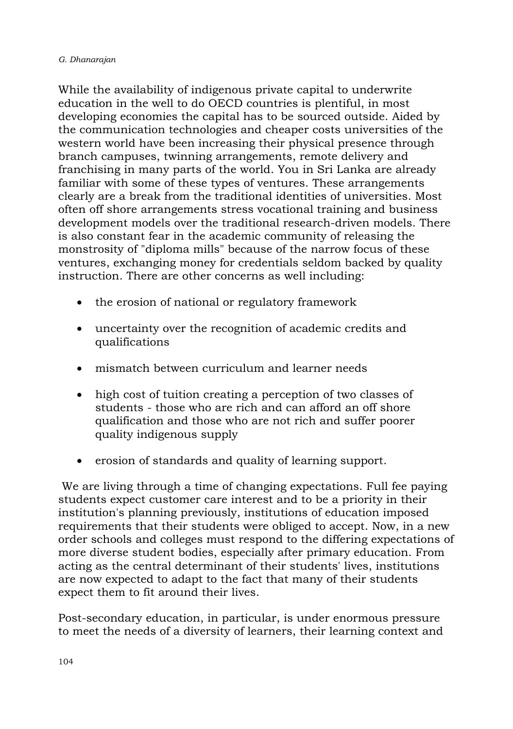While the availability of indigenous private capital to underwrite education in the well to do OECD countries is plentiful, in most developing economies the capital has to be sourced outside. Aided by the communication technologies and cheaper costs universities of the western world have been increasing their physical presence through branch campuses, twinning arrangements, remote delivery and franchising in many parts of the world. You in Sri Lanka are already familiar with some of these types of ventures. These arrangements clearly are a break from the traditional identities of universities. Most often off shore arrangements stress vocational training and business development models over the traditional research-driven models. There is also constant fear in the academic community of releasing the monstrosity of "diploma mills" because of the narrow focus of these ventures, exchanging money for credentials seldom backed by quality instruction. There are other concerns as well including:

- the erosion of national or regulatory framework
- uncertainty over the recognition of academic credits and qualifications
- mismatch between curriculum and learner needs
- high cost of tuition creating a perception of two classes of students - those who are rich and can afford an off shore qualification and those who are not rich and suffer poorer quality indigenous supply
- erosion of standards and quality of learning support.

 We are living through a time of changing expectations. Full fee paying students expect customer care interest and to be a priority in their institution's planning previously, institutions of education imposed requirements that their students were obliged to accept. Now, in a new order schools and colleges must respond to the differing expectations of more diverse student bodies, especially after primary education. From acting as the central determinant of their students' lives, institutions are now expected to adapt to the fact that many of their students expect them to fit around their lives.

Post-secondary education, in particular, is under enormous pressure to meet the needs of a diversity of learners, their learning context and